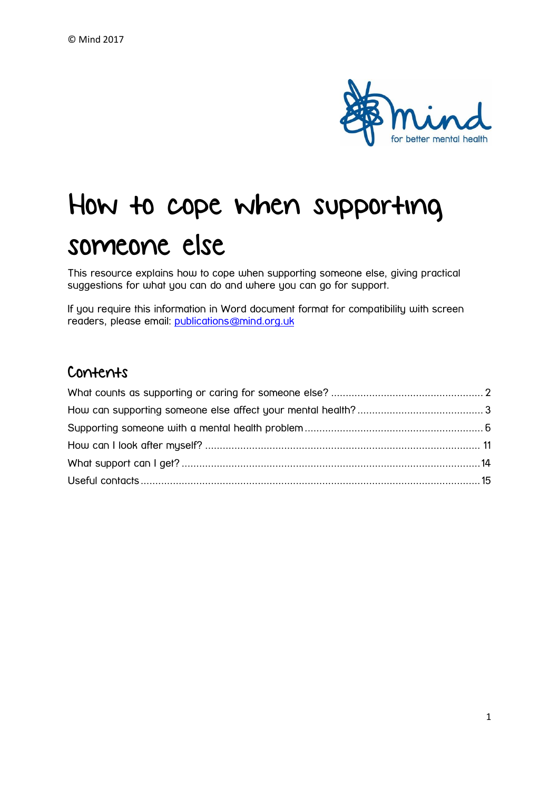

# How to cope when supporting someone else

This resource explains how to cope when supporting someone else, giving practical suggestions for what you can do and where you can go for support.

If you require this information in Word document format for compatibility with screen readers, please email: [publications@mind.org.uk](mailto:publications@mind.org.uk)

#### Contents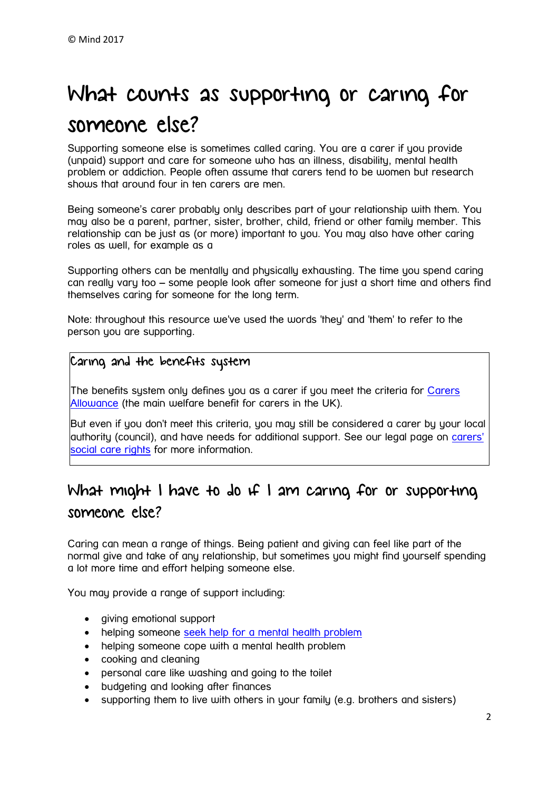## <span id="page-1-0"></span>What counts as supporting or caring for someone else?

Supporting someone else is sometimes called caring. You are a carer if you provide (unpaid) support and care for someone who has an illness, disability, mental health problem or addiction. People often assume that carers tend to be women but research shows that around four in ten carers are men.

Being someone's carer probably only describes part of your relationship with them. You may also be a parent, partner, sister, brother, child, friend or other family member. This relationship can be just as (or more) important to you. You may also have other caring roles as well, for example as a

Supporting others can be mentally and physically exhausting. The time you spend caring can really vary too – some people look after someone for just a short time and others find themselves caring for someone for the long term.

Note: throughout this resource we've used the words 'they' and 'them' to refer to the person you are supporting.

#### Caring and the benefits system

The benefits system only defines you as a carer if you meet the criteria for [Carers](https://carers.org/content/carers-allowance)  [Allowance](https://carers.org/content/carers-allowance) (the main welfare benefit for carers in the UK).

But even if you don't meet this criteria, you may still be considered a carer by your local authority (council), and have needs for additional support. See our legal page on [carers'](https://www.mind.org.uk/information-support/legal-rights/health-and-social-care-rights/carers-social-care-rights/)  [social care rights](https://www.mind.org.uk/information-support/legal-rights/health-and-social-care-rights/carers-social-care-rights/) for more information.

## What might I have to do if I am caring for or supporting someone else?

Caring can mean a range of things. Being patient and giving can feel like part of the normal give and take of any relationship, but sometimes you might find yourself spending a lot more time and effort helping someone else.

You may provide a range of support including:

- giving emotional support
- helping someone [seek help for a mental health problem](https://www.mind.org.uk/information-support/guides-to-support-and-services/seeking-help-for-a-mental-health-problem/supporting-someone-else/?o=24607#.WDWjTdKLTcs)
- helping someone cope with a mental health problem
- cooking and cleaning
- personal care like washing and going to the toilet
- budgeting and looking after finances
- supporting them to live with others in your family (e.g. brothers and sisters)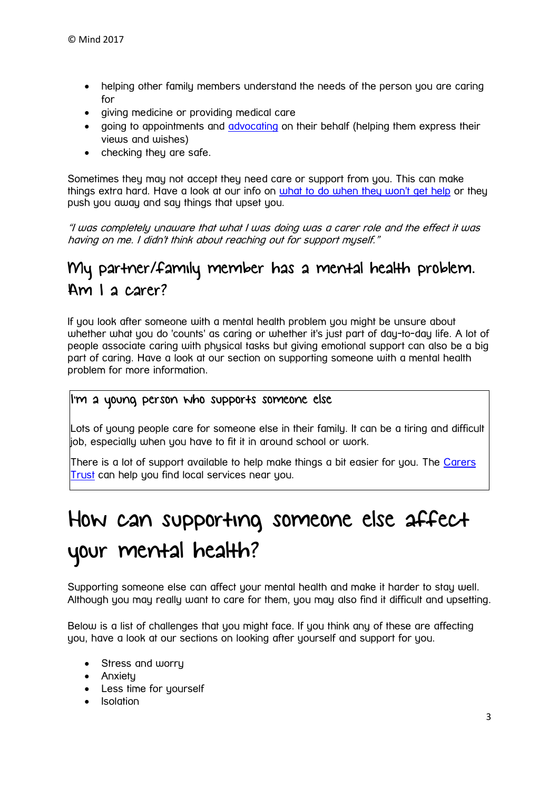- helping other family members understand the needs of the person you are caring for
- giving medicine or providing medical care
- going to appointments and [advocating](https://www.mind.org.uk/information-support/guides-to-support-and-services/advocacy/#.WDWUnNKLTcs) on their behalf (helping them express their views and wishes)
- checking they are safe.

Sometimes they may not accept they need care or support from you. This can make things extra hard. Have a look at our info on [what to do when they won't get help](https://www.mind.org.uk/information-support/helping-someone-else/how-to-cope-when-supporting-someone-else/supporting-someone-with-a-mental-health-problem/#theywontseekhelp) or they push you away and say things that upset you.

"I was completely unaware that what I was doing was a carer role and the effect it was having on me. I didn't think about reaching out for support myself."

## My partner/family member has a mental health problem. Am I a carer?

If you look after someone with a mental health problem you might be unsure about whether what you do 'counts' as caring or whether it's just part of day-to-day life. A lot of people associate caring with physical tasks but giving emotional support can also be a big part of caring. Have a look at our section on supporting someone with a mental health problem for more information.

#### I'm a young person who supports someone else

Lots of young people care for someone else in their family. It can be a tiring and difficult job, especially when you have to fit it in around school or work.

There is a lot of support available to help make things a bit easier for you. The Carers [Trust](https://carers.org/know-your-rights-support-young-carers-and-young-adult-carers-england) can help you find local services near you.

## <span id="page-2-0"></span>How can supporting someone else affect your mental health?

Supporting someone else can affect your mental health and make it harder to stay well. Although you may really want to care for them, you may also find it difficult and upsetting.

Below is a list of challenges that you might face. If you think any of these are affecting you, have a look at our sections on looking after yourself and support for you.

- Stress and worry
- Anxietu
- Less time for yourself
- **•** Isolation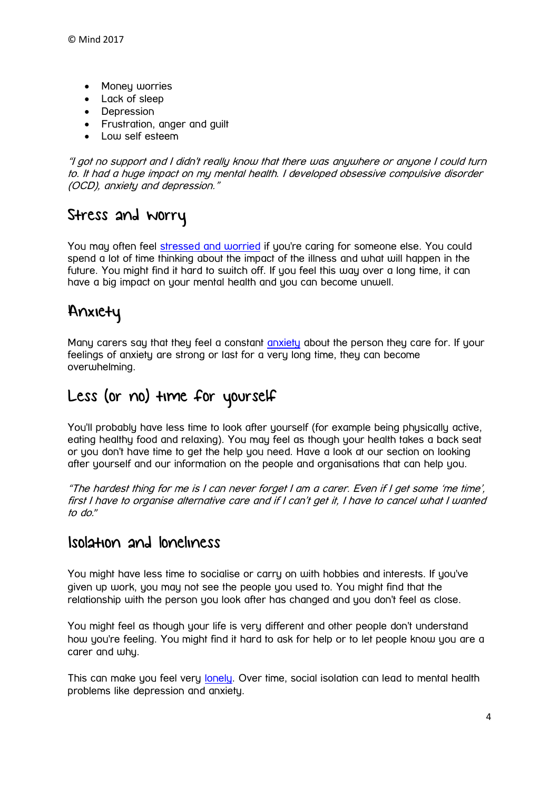- Money worries
- Lack of sleep
- Depression
- Frustration, anger and guilt
- Low self esteem

"I got no support and I didn't really know that there was anywhere or anyone I could turn to. It had a huge impact on my mental health. I developed obsessive compulsive disorder (OCD), anxiety and depression."

## Stress and worry

You may often feel [stressed and worried](https://www.mind.org.uk/information-support/tips-for-everyday-living/stress/#.WDb83dKLTct) if you're caring for someone else. You could spend a lot of time thinking about the impact of the illness and what will happen in the future. You might find it hard to switch off. If you feel this way over a long time, it can have a big impact on your mental health and you can become unwell.

## Anxiety

Many carers say that they feel a constant [anxiety](https://www.mind.org.uk/information-support/types-of-mental-health-problems/anxiety-and-panic-attacks/#.WD_6umSLQlI) about the person they care for. If your feelings of anxiety are strong or last for a very long time, they can become overwhelming.

## Less (or no) time for yourself

You'll probably have less time to look after yourself (for example being physically active, eating healthy food and relaxing). You may feel as though your health takes a back seat or you don't have time to get the help you need. Have a look at our section on looking after yourself and our information on the people and organisations that can help you.

"The hardest thing for me is I can never forget I am a carer. Even if I get some 'me time', first I have to organise alternative care and if I can't get it, I have to cancel what I wanted to do."

#### Isolation and loneliness

You might have less time to socialise or carry on with hobbies and interests. If you've given up work, you may not see the people you used to. You might find that the relationship with the person you look after has changed and you don't feel as close.

You might feel as though your life is very different and other people don't understand how you're feeling. You might find it hard to ask for help or to let people know you are a carer and why.

This can make you feel very [lonely.](https://www.mind.org.uk/information-support/tips-for-everyday-living/loneliness/) Over time, social isolation can lead to mental health problems like depression and anxiety.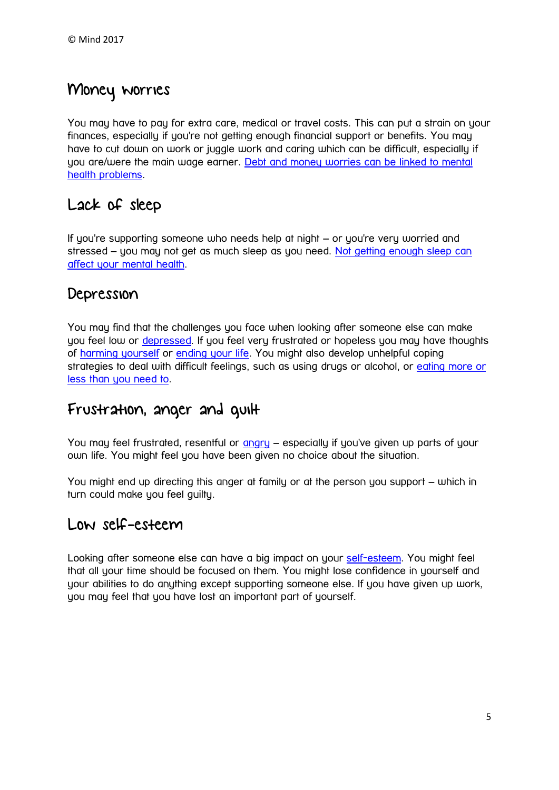## Money worries

You may have to pay for extra care, medical or travel costs. This can put a strain on your finances, especially if you're not getting enough financial support or benefits. You may have to cut down on work or juggle work and caring which can be difficult, especially if you are/were the main wage earner. [Debt and money worries can be linked to mental](https://www.mind.org.uk/information-support/tips-for-everyday-living/money-and-mental-health/)  [health problems.](https://www.mind.org.uk/information-support/tips-for-everyday-living/money-and-mental-health/)

#### Lack of sleep

If you're supporting someone who needs help at night – or you're very worried and stressed – you may not get as much sleep as you need. [Not getting enough sleep can](https://www.mind.org.uk/information-support/types-of-mental-health-problems/sleep-problems/)  [affect your mental health.](https://www.mind.org.uk/information-support/types-of-mental-health-problems/sleep-problems/)

#### Depression

You may find that the challenges you face when looking after someone else can make you feel low or [depressed.](https://www.mind.org.uk/information-support/types-of-mental-health-problems/depression/#.WDcIbtKLTcs) If you feel very frustrated or hopeless you may have thoughts of [harming yourself](https://www.mind.org.uk/information-support/types-of-mental-health-problems/self-harm/#.WDcIW9KLTcs) or [ending your life.](https://www.mind.org.uk/information-support/types-of-mental-health-problems/suicidal-feelings/#.WDcIoNKLTcs) You might also develop unhelpful coping strategies to deal with difficult feelings, such as using drugs or alcohol, or [eating more or](https://www.mind.org.uk/information-support/types-of-mental-health-problems/eating-problems/#.WDcI7tKLTcs)  [less than you need to.](https://www.mind.org.uk/information-support/types-of-mental-health-problems/eating-problems/#.WDcI7tKLTcs)

### Frustration, anger and guilt

You may feel frustrated, resentful or [angry](https://www.mind.org.uk/information-support/types-of-mental-health-problems/anger/#.WDcKMtKLTcs) – especially if you've given up parts of your own life. You might feel you have been given no choice about the situation.

You might end up directing this anger at family or at the person you support – which in turn could make you feel guilty.

#### Low self-esteem

Looking after someone else can have a big impact on your [self-esteem.](https://www.mind.org.uk/information-support/types-of-mental-health-problems/self-esteem/#.WDcKs9KLTcs) You might feel that all your time should be focused on them. You might lose confidence in yourself and your abilities to do anything except supporting someone else. If you have given up work, you may feel that you have lost an important part of yourself.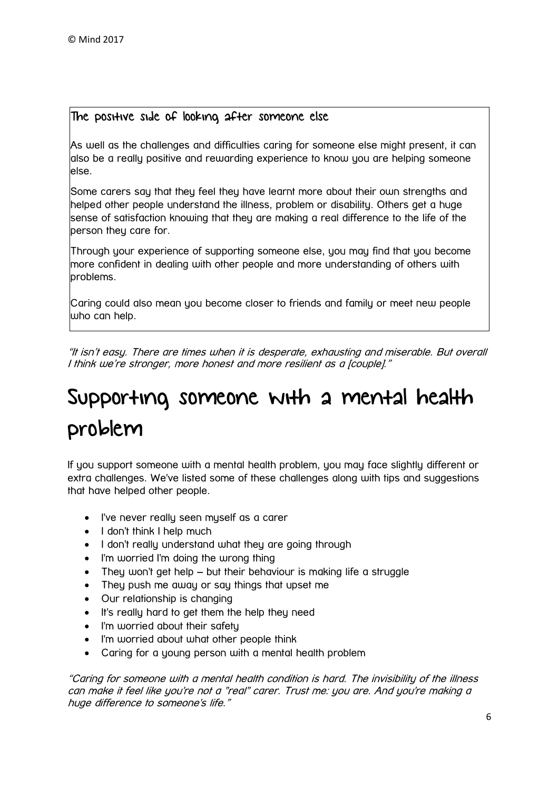#### The positive side of looking after someone else

As well as the challenges and difficulties caring for someone else might present, it can also be a really positive and rewarding experience to know you are helping someone else.

Some carers say that they feel they have learnt more about their own strengths and helped other people understand the illness, problem or disability. Others get a huge sense of satisfaction knowing that they are making a real difference to the life of the person they care for.

Through your experience of supporting someone else, you may find that you become more confident in dealing with other people and more understanding of others with problems.

Caring could also mean you become closer to friends and family or meet new people who can help.

"It isn't easy. There are times when it is desperate, exhausting and miserable. But overall I think we're stronger, more honest and more resilient as a [couple]."

## <span id="page-5-0"></span>Supporting someone with a mental health problem

If you support someone with a mental health problem, you may face slightly different or extra challenges. We've listed some of these challenges along with tips and suggestions that have helped other people.

- I've never really seen myself as a carer
- I don't think I help much
- I don't really understand what they are going through
- I'm worried I'm doing the wrong thing
- They won't get help but their behaviour is making life a struggle
- They push me away or say things that upset me
- Our relationship is changing
- It's really hard to get them the help they need
- I'm worried about their safety
- I'm worried about what other people think
- Caring for a young person with a mental health problem

"Caring for someone with a mental health condition is hard. The invisibility of the illness can make it feel like you're not a "real" carer. Trust me: you are. And you're making a huge difference to someone's life."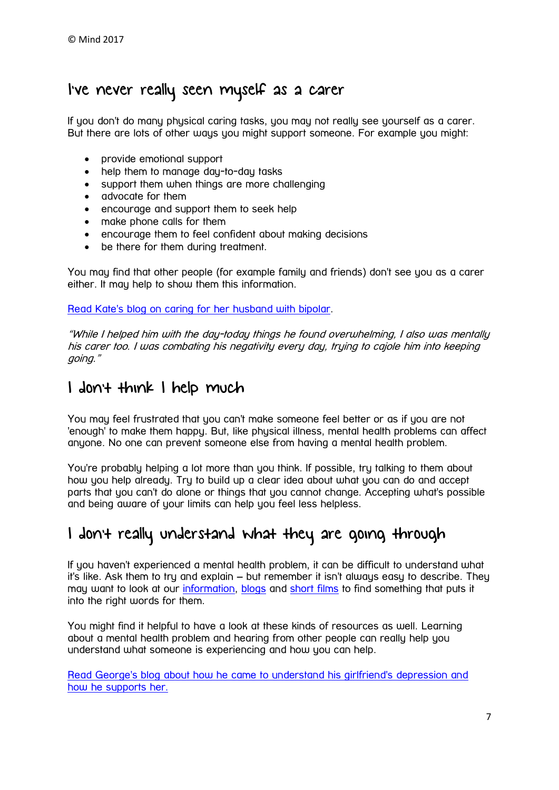## I've never really seen myself as a carer

If you don't do many physical caring tasks, you may not really see yourself as a carer. But there are lots of other ways you might support someone. For example you might:

- provide emotional support
- help them to manage day-to-day tasks
- support them when things are more challenging
- advocate for them
- encourage and support them to seek help
- make phone calls for them
- encourage them to feel confident about making decisions
- be there for them during treatment.

You may find that other people (for example family and friends) don't see you as a carer either. It may help to show them this information.

[Read Kate's blog on caring for her husband with bipolar.](https://www.mind.org.uk/information-support/your-stories/caring-for-my-husband-with-bipolar/#.WLmFmE2mmM8)

"While I helped him with the day-today things he found overwhelming, I also was mentally his carer too. I was combating his negativity every day, trying to cajole him into keeping going."

#### I don't think I help much

You may feel frustrated that you can't make someone feel better or as if you are not 'enough' to make them happy. But, like physical illness, mental health problems can affect anyone. No one can prevent someone else from having a mental health problem.

You're probably helping a lot more than you think. If possible, try talking to them about how you help already. Try to build up a clear idea about what you can do and accept parts that you can't do alone or things that you cannot change. Accepting what's possible and being aware of your limits can help you feel less helpless.

## I don't really understand what they are going through

If you haven't experienced a mental health problem, it can be difficult to understand what it's like. Ask them to try and explain – but remember it isn't always easy to describe. They may want to look at our [information,](https://www.mind.org.uk/information-support/a-z-mental-health/) [blogs](https://www.mind.org.uk/information-support/your-stories/) and [short films](https://www.youtube.com/user/MindWebteam) to find something that puts it into the right words for them.

You might find it helpful to have a look at these kinds of resources as well. Learning about a mental health problem and hearing from other people can really help you understand what someone is experiencing and how you can help.

[Read George's blog about how he came to understand his girlfriend's depression and](https://www.mind.org.uk/information-support/your-stories/how-i-came-to-understand-my-girlfriends-depression/#.WDcb1dKLTcs)  [how he supports her.](https://www.mind.org.uk/information-support/your-stories/how-i-came-to-understand-my-girlfriends-depression/#.WDcb1dKLTcs)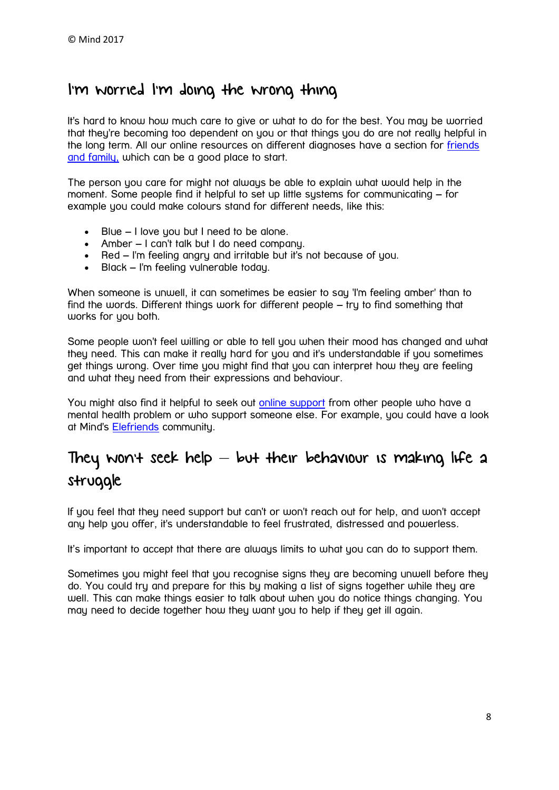### I'm worried I'm doing the wrong thing

It's hard to know how much care to give or what to do for the best. You may be worried that they're becoming too dependent on you or that things you do are not really helpful in the long term. All our online resources on different diagnoses have a section for [friends](https://www.mind.org.uk/information-support/helping-someone-else/)  [and family,](https://www.mind.org.uk/information-support/helping-someone-else/) which can be a good place to start.

The person you care for might not always be able to explain what would help in the moment. Some people find it helpful to set up little sustems for communicating – for example you could make colours stand for different needs, like this:

- Blue I love you but I need to be alone.
- Amber I can't talk but I do need company.
- Red I'm feeling angry and irritable but it's not because of you.
- Black I'm feeling vulnerable today.

When someone is unwell, it can sometimes be easier to say 'I'm feeling amber' than to find the words. Different things work for different people – try to find something that works for you both.

Some people won't feel willing or able to tell you when their mood has changed and what they need. This can make it really hard for you and it's understandable if you sometimes get things wrong. Over time you might find that you can interpret how they are feeling and what they need from their expressions and behaviour.

You might also find it helpful to seek out [online support](https://www.mind.org.uk/information-support/drugs-and-treatments/peer-support/what-kinds-of-peer-support-are-there/#online) from other people who have a mental health problem or who support someone else. For example, you could have a look at Mind's [Elefriends](https://www.mind.org.uk/information-support/support-community-elefriends/) community.

## They won't seek help  $-$  but their behaviour is making life a struggle

If you feel that they need support but can't or won't reach out for help, and won't accept any help you offer, it's understandable to feel frustrated, distressed and powerless.

It's important to accept that there are always limits to what you can do to support them.

Sometimes you might feel that you recognise signs they are becoming unwell before they do. You could try and prepare for this by making a list of signs together while they are well. This can make things easier to talk about when you do notice things changing. You may need to decide together how they want you to help if they get ill again.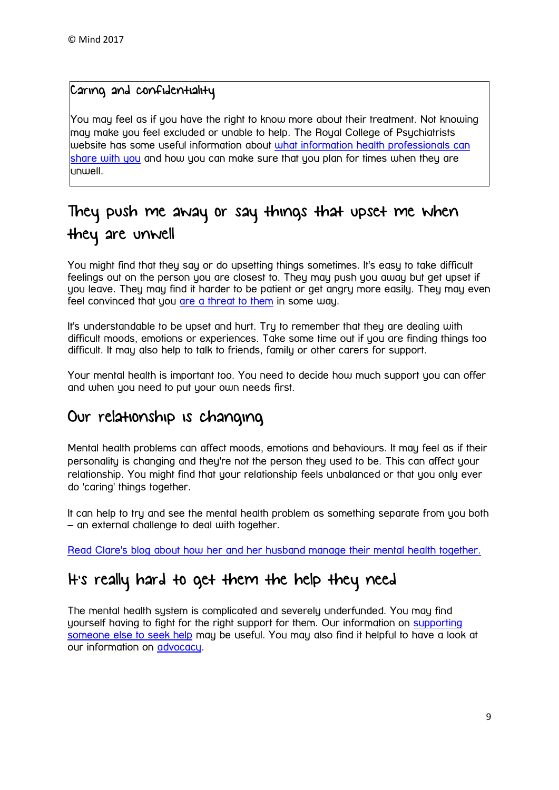#### Caring and confidentiality

You may feel as if you have the right to know more about their treatment. Not knowing may make you feel excluded or unable to help. The Royal College of Psychiatrists website has some useful information about *what information health professionals can* [share with you](http://www.rcpsych.ac.uk/healthadvice/partnersincarecampaign/carersandconfidentiality.aspx) and how you can make sure that you plan for times when they are unwell.

## They push me away or say things that upset me when they are unwell

You might find that they say or do upsetting things sometimes. It's easy to take difficult feelings out on the person you are closest to. They may push you away but get upset if you leave. They may find it harder to be patient or get angry more easily. They may even feel convinced that you [are a threat to them](https://www.mind.org.uk/information-support/types-of-mental-health-problems/paranoia/about-paranoia/) in some way.

It's understandable to be upset and hurt. Try to remember that they are dealing with difficult moods, emotions or experiences. Take some time out if you are finding things too difficult. It may also help to talk to friends, family or other carers for support.

Your mental health is important too. You need to decide how much support you can offer and when you need to put your own needs first.

#### Our relationship is changing

Mental health problems can affect moods, emotions and behaviours. It may feel as if their personality is changing and they're not the person they used to be. This can affect your relationship. You might find that your relationship feels unbalanced or that you only ever do 'caring' things together.

It can help to try and see the mental health problem as something separate from you both – an external challenge to deal with together.

[Read Clare's blog about how her and her husband manage their mental health together.](https://www.mind.org.uk/information-support/your-stories/managing-mental-health-in-a-relationship/#.WLmGFE2mmM8)

## It's really hard to get them the help they need

The mental health system is complicated and severely underfunded. You may find yourself having to fight for the right support for them. Our information on [supporting](https://www.mind.org.uk/information-support/guides-to-support-and-services/seeking-help-for-a-mental-health-problem/supporting-someone-else/?o=24608#.WD2SBdKLTcs)  [someone else to seek help](https://www.mind.org.uk/information-support/guides-to-support-and-services/seeking-help-for-a-mental-health-problem/supporting-someone-else/?o=24608#.WD2SBdKLTcs) may be useful. You may also find it helpful to have a look at our information on [advocacy.](https://www.mind.org.uk/information-support/guides-to-support-and-services/advocacy/what-is-advocacy/?o=10149#.WD2SLdKLTcs)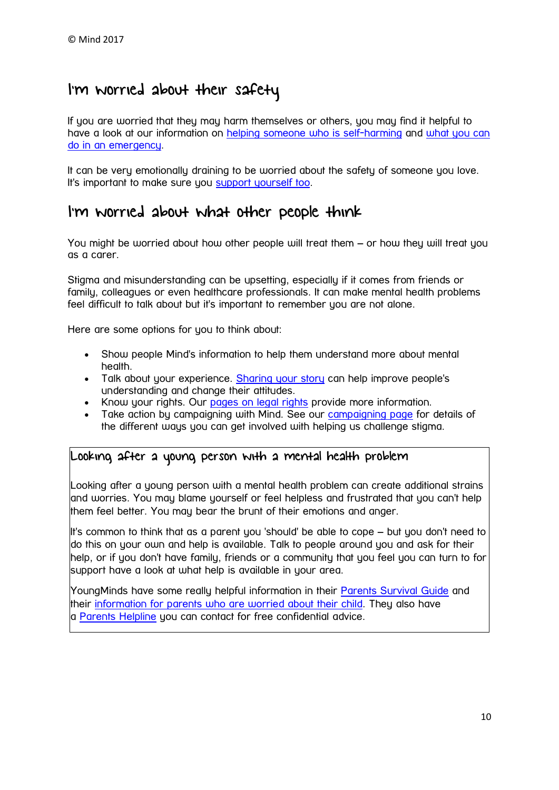## I'm worried about their safety

If you are worried that they may harm themselves or others, you may find it helpful to have a look at our information on [helping someone who is self-harming](https://www.mind.org.uk/information-support/types-of-mental-health-problems/self-harm/for-friends-and-family/#.WEaasdKLTcs%5D) and what you can [do in an emergency.](https://www.mind.org.uk/information-support/guides-to-support-and-services/seeking-help-for-a-mental-health-problem/supporting-someone-else/?o=24607#crisis)

It can be very emotionally draining to be worried about the safety of someone you love. It's important to make sure you [support yourself too.](https://www.mind.org.uk/information-support/types-of-mental-health-problems/suicide-supporting-someone-else/supporting-myself/#.WEaa8NKLTcs)

#### I'm worried about what other people think

You might be worried about how other people will treat them – or how they will treat you as a carer.

Stigma and misunderstanding can be upsetting, especially if it comes from friends or family, colleagues or even healthcare professionals. It can make mental health problems feel difficult to talk about but it's important to remember you are not alone.

Here are some options for you to think about:

- Show people Mind's information to help them understand more about mental health.
- Talk about your experience. [Sharing your story](https://www.mind.org.uk/information-support/your-stories/) can help improve people's understanding and change their attitudes.
- Know your rights. Our [pages on legal rights](https://www.mind.org.uk/information-support/legal-rights/) provide more information.
- Take action by campaigning with Mind. See our [campaigning page](https://www.mind.org.uk/news-campaigns/campaigns/) for details of the different ways you can get involved with helping us challenge stigma.

#### Looking after a young person with a mental health problem

Looking after a young person with a mental health problem can create additional strains and worries. You may blame yourself or feel helpless and frustrated that you can't help them feel better. You may bear the brunt of their emotions and anger.

It's common to think that as a parent you 'should' be able to cope – but you don't need to do this on your own and help is available. Talk to people around you and ask for their help, or if you don't have family, friends or a community that you feel you can turn to for support have a look at what help is available in your area.

<span id="page-9-0"></span>YoungMinds have some really helpful information in their [Parents Survival Guide](https://youngminds.org.uk/find-help/for-parents/parents-survival-guide/) and their [information for parents who are worried about their child.](https://youngminds.org.uk/find-help/for-parents/) They also have a [Parents Helpline](https://youngminds.org.uk/find-help/for-parents/parents-helpline/) you can contact for free confidential advice.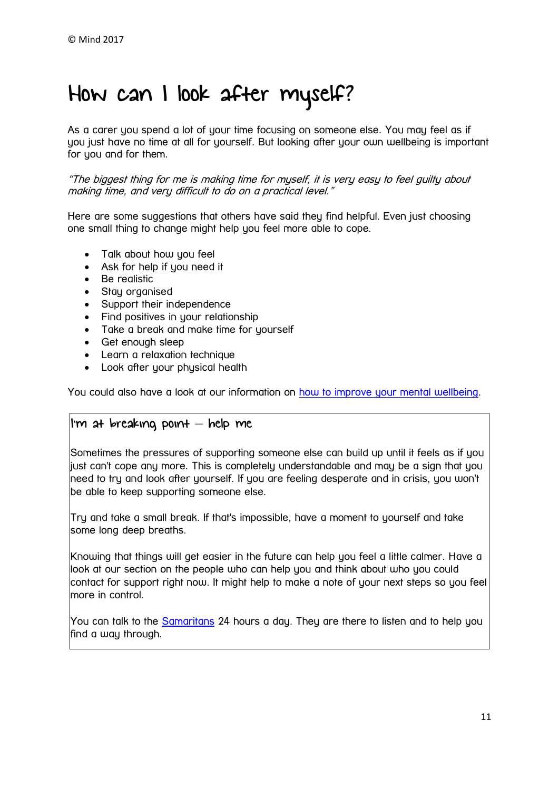## How can I look after myself?

As a carer you spend a lot of your time focusing on someone else. You may feel as if you just have no time at all for yourself. But looking after your own wellbeing is important for you and for them.

"The biggest thing for me is making time for myself, it is very easy to feel guilty about making time, and very difficult to do on a practical level."

Here are some suggestions that others have said they find helpful. Even just choosing one small thing to change might help you feel more able to cope.

- Talk about how you feel
- Ask for help if you need it
- Be realistic
- Stay organised
- Support their independence
- Find positives in your relationship
- Take a break and make time for yourself
- Get enough sleep
- Learn a relaxation technique
- Look after your physical health

You could also have a look at our information on [how to improve your mental wellbeing.](https://www.mind.org.uk/information-support/tips-for-everyday-living/wellbeing/#.WEAzWmSLQlI)

#### I'm at breaking point – help me

Sometimes the pressures of supporting someone else can build up until it feels as if you just can't cope any more. This is completely understandable and may be a sign that you need to try and look after yourself. If you are feeling desperate and in crisis, you won't be able to keep supporting someone else.

Try and take a small break. If that's impossible, have a moment to yourself and take some long deep breaths.

Knowing that things will get easier in the future can help you feel a little calmer. Have a look at our section on the people who can help you and think about who you could contact for support right now. It might help to make a note of your next steps so you feel more in control.

You can talk to the [Samaritans](http://www.samaritans.org/how-we-can-help-you) 24 hours a day. They are there to listen and to help you find a way through.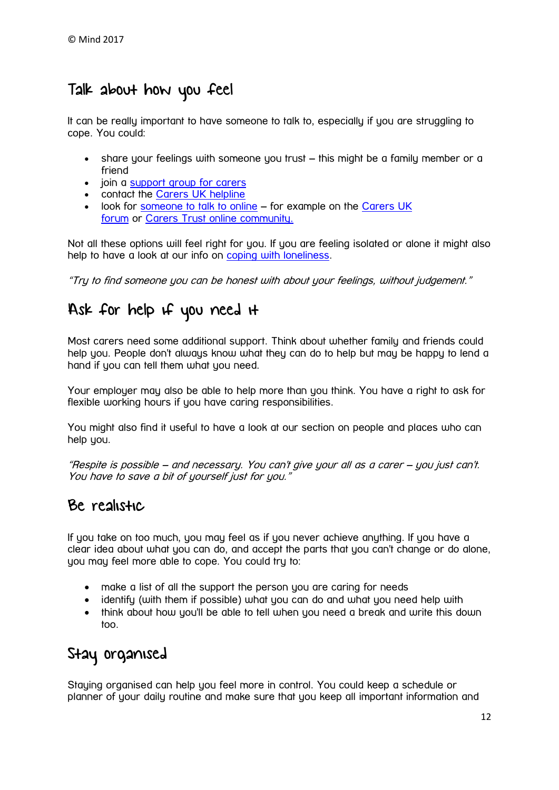## Talk about how you feel

It can be really important to have someone to talk to, especially if you are struggling to cope. You could:

- share your feelings with someone you trust this might be a family member or a friend
- join a [support group for carers](http://www.carersuk.org/help-and-advice/get-support/local-support?gclid=CPaJ8NOc09ACFS4o0wod9b0OWA)
- contact the [Carers UK helpline](http://www.carersuk.org/help-and-advice/talk-to-us)
- look for [someone to talk to online](https://www.mind.org.uk/information-support/tips-for-everyday-living/online-safety-and-support/#.WEA1cmSLQlI) for example on the [Carers UK](http://www.carersuk.org/forum)  [forum](http://www.carersuk.org/forum) or [Carers Trust online community.](https://space.carers.org/)

Not all these options will feel right for you. If you are feeling isolated or alone it might also help to have a look at our info on [coping with loneliness.](https://www.mind.org.uk/information-support/tips-for-everyday-living/loneliness/loneliness/?o=15405)

"Try to find someone you can be honest with about your feelings, without judgement."

### Ask for help if you need it

Most carers need some additional support. Think about whether family and friends could help you. People don't always know what they can do to help but may be happy to lend a hand if you can tell them what you need.

Your employer may also be able to help more than you think. You have a right to ask for flexible working hours if you have caring responsibilities.

You might also find it useful to have a look at our section on people and places who can help you.

"Respite is possible – and necessary. You can't give your all as a carer – you just can't. You have to save a bit of yourself just for you."

#### Be realistic

If you take on too much, you may feel as if you never achieve anything. If you have a clear idea about what you can do, and accept the parts that you can't change or do alone, you may feel more able to cope. You could try to:

- make a list of all the support the person you are caring for needs
- identify (with them if possible) what you can do and what you need help with
- think about how you'll be able to tell when you need a break and write this down too.

## Stay organised

Staying organised can help you feel more in control. You could keep a schedule or planner of your daily routine and make sure that you keep all important information and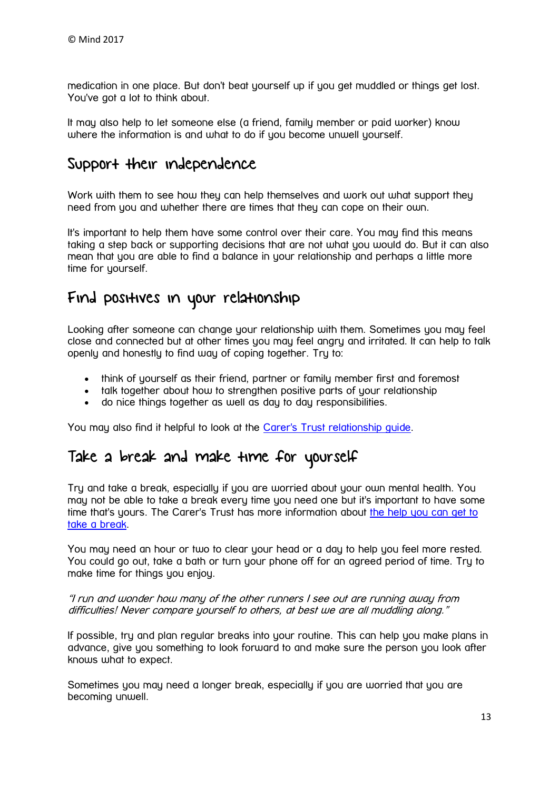medication in one place. But don't beat yourself up if you get muddled or things get lost. You've got a lot to think about.

It may also help to let someone else (a friend, family member or paid worker) know where the information is and what to do if you become unwell yourself.

### Support their independence

Work with them to see how they can help themselves and work out what support they need from you and whether there are times that they can cope on their own.

It's important to help them have some control over their care. You may find this means taking a step back or supporting decisions that are not what you would do. But it can also mean that you are able to find a balance in your relationship and perhaps a little more time for yourself.

#### Find positives in your relationship

Looking after someone can change your relationship with them. Sometimes you may feel close and connected but at other times you may feel angry and irritated. It can help to talk openly and honestly to find way of coping together. Try to:

- think of yourself as their friend, partner or family member first and foremost
- talk together about how to strengthen positive parts of your relationship
- do nice things together as well as day to day responsibilities.

You may also find it helpful to look at the [Carer's Trust relationship guide.](http://relationships.carers.org/)

#### Take a break and make time for yourself

Try and take a break, especially if you are worried about your own mental health. You may not be able to take a break every time you need one but it's important to have some time that's yours. The Carer's Trust has more information about [the help you can get to](https://carers.org/article/getting-break)  [take a break.](https://carers.org/article/getting-break)

You may need an hour or two to clear your head or a day to help you feel more rested. You could go out, take a bath or turn your phone off for an agreed period of time. Try to make time for things you enjoy.

#### "I run and wonder how many of the other runners I see out are running away from difficulties! Never compare yourself to others, at best we are all muddling along."

If possible, try and plan regular breaks into your routine. This can help you make plans in advance, give you something to look forward to and make sure the person you look after knows what to expect.

Sometimes you may need a longer break, especially if you are worried that you are becoming unwell.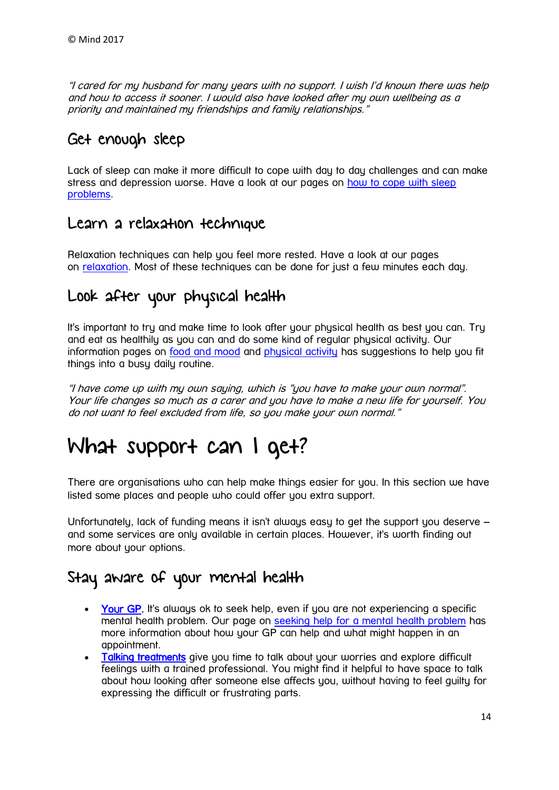"I cared for my husband for many years with no support. I wish I'd known there was help and how to access it sooner. I would also have looked after my own wellbeing as a priority and maintained my friendships and family relationships."

### Get enough sleep

Lack of sleep can make it more difficult to cope with day to day challenges and can make stress and depression worse. Have a look at our pages on [how to cope with sleep](https://www.mind.org.uk/information-support/types-of-mental-health-problems/sleep-problems/)  [problems.](https://www.mind.org.uk/information-support/types-of-mental-health-problems/sleep-problems/)

#### Learn a relaxation technique

Relaxation techniques can help you feel more rested. Have a look at our pages on [relaxation.](https://www.mind.org.uk/information-support/tips-for-everyday-living/relaxation/#.WEBN5WSLQlI) Most of these techniques can be done for just a few minutes each day.

### Look after your physical health

It's important to try and make time to look after your physical health as best you can. Try and eat as healthily as you can and do some kind of regular physical activity. Our information pages on [food and mood](https://www.mind.org.uk/information-support/tips-for-everyday-living/food-and-mood/#.WLl9PU2mmM8) and [physical activity](https://www.mind.org.uk/information-support/tips-for-everyday-living/physical-activity-sport-and-exercise/#.WEBQpWSLQlI) has suggestions to help you fit things into a busy daily routine.

"I have come up with my own saying, which is "you have to make your own normal". Your life changes so much as a carer and you have to make a new life for yourself. You do not want to feel excluded from life, so you make your own normal."

## <span id="page-13-0"></span>What support can I get?

There are organisations who can help make things easier for you. In this section we have listed some places and people who could offer you extra support.

Unfortunately, lack of funding means it isn't always easy to get the support you deserve – and some services are only available in certain places. However, it's worth finding out more about your options.

#### Stay aware of your mental health

- [Your GP.](https://www.mind.org.uk/information-support/guides-to-support-and-services/seeking-help-for-a-mental-health-problem/where-to-start/#who) It's always ok to seek help, even if you are not experiencing a specific mental health problem. Our page on [seeking help for a mental health problem](https://www.mind.org.uk/information-support/guides-to-support-and-services/seeking-help-for-a-mental-health-problem/#.WEBUdmSLQlI) has more information about how your GP can help and what might happen in an appointment.
- [Talking treatments](https://www.mind.org.uk/information-support/drugs-and-treatments/talking-treatments/#.WEBXiGSLQlI) give you time to talk about your worries and explore difficult feelings with a trained professional. You might find it helpful to have space to talk about how looking after someone else affects you, without having to feel guilty for expressing the difficult or frustrating parts.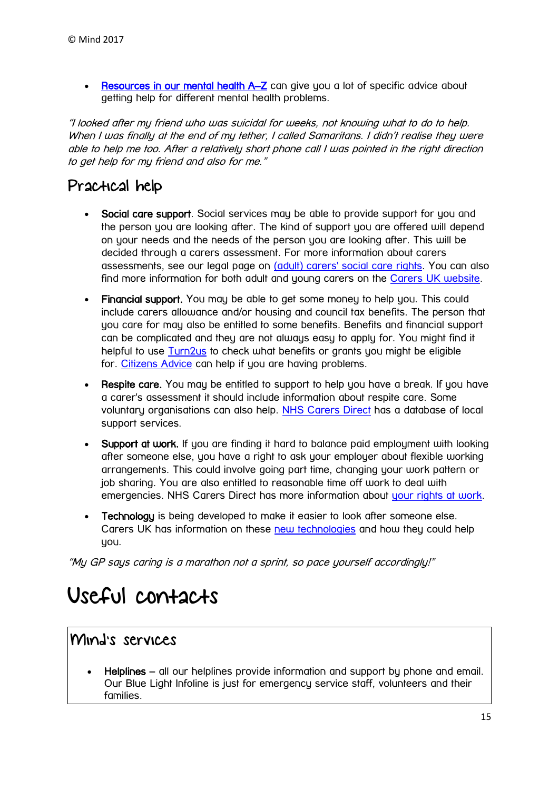• [Resources in our mental health A](https://www.mind.org.uk/information-support/a-z-mental-health/)–Z can give you a lot of specific advice about getting help for different mental health problems.

"I looked after my friend who was suicidal for weeks, not knowing what to do to help. When I was finally at the end of my tether, I called Samaritans. I didn't realise they were able to help me too. After a relatively short phone call I was pointed in the right direction to get help for my friend and also for me."

## Practical help

- Social care support. Social services may be able to provide support for you and the person you are looking after. The kind of support you are offered will depend on your needs and the needs of the person you are looking after. This will be decided through a carers assessment. For more information about carers assessments, see our legal page on [\(adult\) carers' social care rights.](https://www.mind.org.uk/information-support/legal-rights/health-and-social-care-rights/carers-social-care-rights/) You can also find more information for both adult and young carers on the [Carers UK website.](http://www.carersuk.org/help-and-advice/practical-support/getting-care-and-support/carers-assessment)
- Financial support. You may be able to get some money to help you. This could include carers allowance and/or housing and council tax benefits. The person that you care for may also be entitled to some benefits. Benefits and financial support can be complicated and they are not always easy to apply for. You might find it helpful to use [Turn2us](https://www.turn2us.org.uk/Your-Situation/Carers) to check what benefits or grants you might be eligible for. [Citizens Advice](https://www.citizensadvice.org.uk/) can help if you are having problems.
- Respite care. You may be entitled to support to help you have a break. If you have a carer's assessment it should include information about respite care. Some voluntary organisations can also help. [NHS Carers Direct](http://www.nhs.uk/conditions/social-care-and-support-guide/pages/carers-direct-helpline.aspx) has a database of local support services.
- Support at work. If you are finding it hard to balance paid employment with looking after someone else, you have a right to ask your employer about flexible working arrangements. This could involve going part time, changing your work pattern or job sharing. You are also entitled to reasonable time off work to deal with emergencies. NHS Carers Direct has more information about [your rights at work.](http://www.nhs.uk/conditions/social-care-and-support-guide/pages/employment-rights-for-carers-flexible-working-unpaid-leave.aspx)
- Technology is being developed to make it easier to look after someone else. Carers UK has information on these [new technologies](http://www.carersuk.org/help-and-advice/equipment-and-technology) and how they could help you.

"My GP says caring is a marathon not a sprint, so pace yourself accordingly!"

## <span id="page-14-0"></span>Useful contacts

#### Mind's services

Helplines – all our helplines provide information and support bu phone and email. Our Blue Light Infoline is just for emergency service staff, volunteers and their families.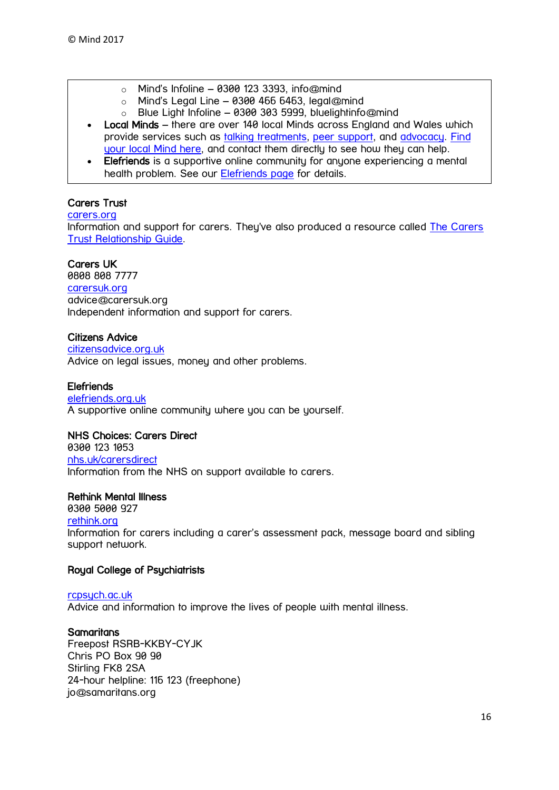- $\circ$  Mind's Infoline 0300 123 3393, info@mind
- $\circ$  Mind's Legal Line 0300 466 6463, legal@mind
- o Blue Light Infoline 0300 303 5999, bluelightinfo@mind
- Local Minds there are over 140 local Minds across England and Wales which provide services such as [talking treatments,](https://www.mind.org.uk/information-support/drugs-and-treatments/talking-treatments/) [peer support,](https://www.mind.org.uk/information-support/drugs-and-treatments/peer-support/) and [advocacy.](https://www.mind.org.uk/information-support/guides-to-support-and-services/advocacy/) [Find](https://www.mind.org.uk/information-support/local-minds/)  [your local Mind here,](https://www.mind.org.uk/information-support/local-minds/) and contact them directly to see how they can help.
- Elefriends is a supportive online community for anyone experiencing a mental health problem. See our [Elefriends page](https://www.mind.org.uk/elefriends/) for details.

#### Carers Trust

#### [carers.org](http://www.carers.org/)

Information and support for carers. They've also produced a resource called The Carers [Trust Relationship Guide.](http://relationships.carers.org/)

#### Carers UK

0808 808 7777 [carersuk.org](http://www.carersuk.org/) advice@carersuk.org Independent information and support for carers.

#### Citizens Advice

[citizensadvice.org.uk](http://www.citizensadvice.org.uk/) Advice on legal issues, money and other problems.

#### **Elefriends**

[elefriends.org.uk](https://www.elefriends.org.uk/) A supportive online community where you can be yourself.

#### NHS Choices: Carers Direct

0300 123 1053 [nhs.uk/carersdirect](http://www.nhs.uk/carersdirect/Pages/CarersDirectHome.aspx) Information from the NHS on support available to carers.

#### Rethink Mental Illness

0300 5000 927 [rethink.org](https://www.rethink.org/) Information for carers including a carer's assessment pack, message board and sibling support network.

#### Royal College of Psychiatrists

[rcpsych.ac.uk](http://www.rcpsych.ac.uk/) Advice and information to improve the lives of people with mental illness.

#### **Samaritans**

Freepost RSRB-KKBY-CYJK Chris PO Box 90 90 Stirling FK8 2SA 24-hour helpline: 116 123 (freephone) jo@samaritans.org